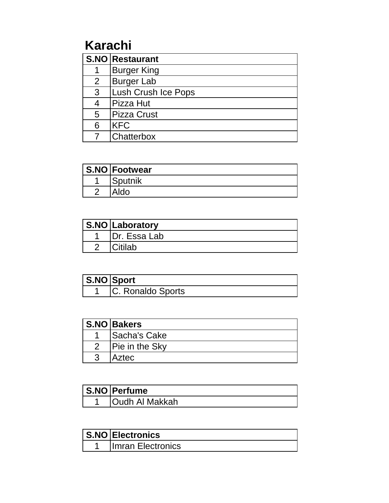# **Karachi**

|                | <b>S.NO Restaurant</b> |
|----------------|------------------------|
|                | <b>Burger King</b>     |
| 2 <sup>1</sup> | <b>Burger Lab</b>      |
| 3              | Lush Crush Ice Pops    |
|                | Pizza Hut              |
| 5              | <b>IPizza Crust</b>    |
| 6              | <b>KFC</b>             |
|                | Chatterbox             |

| S.NO Footwear  |
|----------------|
| <b>Sputnik</b> |
|                |

| S.NO Laboratory |
|-----------------|
| IDr. Essa Lab   |
|                 |

| S.NO Sport         |
|--------------------|
| IC. Ronaldo Sports |

|               | S.NO Bakers           |
|---------------|-----------------------|
|               | <b>Sacha's Cake</b>   |
| $\mathcal{P}$ | <b>Pie in the Sky</b> |
|               | Aztec                 |

| S.NO Perfume    |
|-----------------|
| JOudh Al Makkah |

| S.NO Electronics   |
|--------------------|
| Ilmran Electronics |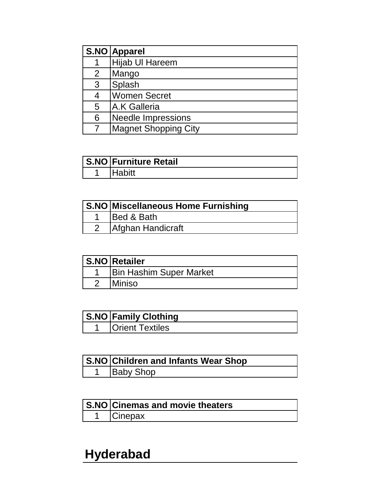|                | S.NO Apparel                |
|----------------|-----------------------------|
|                | <b>Hijab UI Hareem</b>      |
| $\overline{2}$ | Mango                       |
| 3              | Splash                      |
|                | <b>Women Secret</b>         |
| 5              | <b>A.K Galleria</b>         |
| 6              | <b>Needle Impressions</b>   |
|                | <b>Magnet Shopping City</b> |

| S.NO Furniture Retail |
|-----------------------|
|                       |

| S.NO Miscellaneous Home Furnishing |
|------------------------------------|
| <b>Bed &amp; Bath</b>              |
| Afghan Handicraft                  |

| S.NO Retailer                  |
|--------------------------------|
| <b>Bin Hashim Super Market</b> |
| Miniso                         |

| <b>S.NO Family Clothing</b> |
|-----------------------------|
| Orient Textiles             |

| <b>S.NO Children and Infants Wear Shop</b> |
|--------------------------------------------|
| <b>Baby Shop</b>                           |

| S.NO Cinemas and movie theaters |
|---------------------------------|
| Cinepax                         |

# **Hyderabad**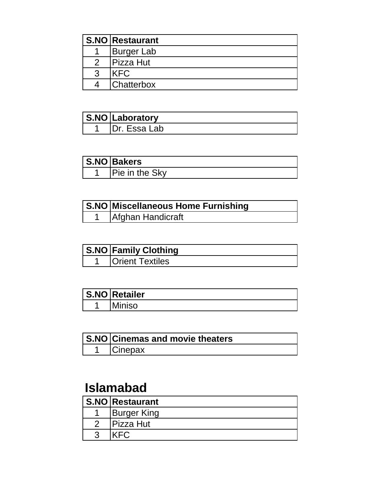|               | <b>S.NO Restaurant</b> |
|---------------|------------------------|
|               | <b>Burger Lab</b>      |
| $\mathcal{P}$ | <b>Pizza Hut</b>       |
|               | KFC.                   |
|               | <b>Chatterbox</b>      |

| S.NO Laboratory |
|-----------------|
| IDr. Essa Lab   |

| S.NO Bakers           |
|-----------------------|
| <b>Pie in the Sky</b> |

| S.NO Miscellaneous Home Furnishing |
|------------------------------------|
| Afghan Handicraft                  |

| <b>S.NO Family Clothing</b> |
|-----------------------------|
| <b>Orient Textiles</b>      |

| <b>S.NO Retailer</b> |
|----------------------|
| Miniso               |

| S.NO Cinemas and movie theaters |
|---------------------------------|
| <b>Cinepax</b>                  |

#### **Islamabad**

| S.NO Restaurant    |
|--------------------|
| <b>Burger King</b> |
| <b>Pizza Hut</b>   |
|                    |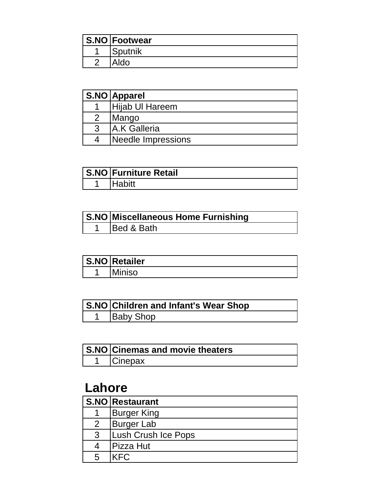| S.NO Footwear  |
|----------------|
| <b>Sputnik</b> |
|                |

|                | S.NO Apparel        |
|----------------|---------------------|
|                | Hijab UI Hareem     |
| $\overline{2}$ | Mango               |
| 3              | <b>A.K Galleria</b> |
| 4              | Needle Impressions  |

| S.NO Furniture Retail |
|-----------------------|
|                       |

| <b>S.NO Miscellaneous Home Furnishing</b> |
|-------------------------------------------|
| <b>IBed &amp; Bath</b>                    |

| <b>S.NO Retailer</b> |
|----------------------|
| <b>ISO</b>           |

| S.NO Children and Infant's Wear Shop |
|--------------------------------------|
| Baby Shop                            |

| <b>S.NO Cinemas and movie theaters</b> |
|----------------------------------------|
| <b>Cinepax</b>                         |

#### **Lahore**

|   | <b>S.NO Restaurant</b> |
|---|------------------------|
|   | <b>Burger King</b>     |
| 2 | <b>Burger Lab</b>      |
| 3 | Lush Crush Ice Pops    |
|   | Pizza Hut              |
|   | KFC.                   |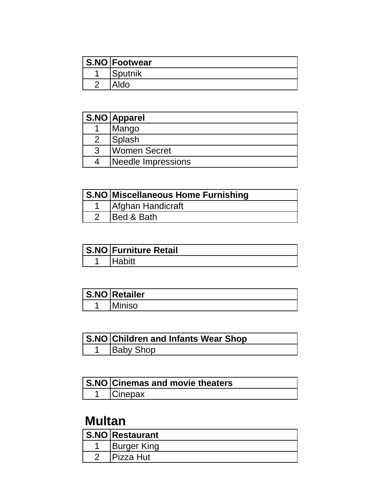| S.NO Footwear  |
|----------------|
| <b>Sputnik</b> |
|                |

|   | S.NO Apparel       |
|---|--------------------|
|   | Mango              |
|   | Splash             |
| 3 | Women Secret       |
|   | Needle Impressions |

| S.NO Miscellaneous Home Furnishing |
|------------------------------------|
| Afghan Handicraft                  |
| Bed & Bath                         |

| <b>S.NO Furniture Retail</b> |
|------------------------------|
|                              |

| <b>S.NO Retailer</b> |
|----------------------|
| Miniso               |

| S.NO Children and Infants Wear Shop |
|-------------------------------------|
| <b>Baby Shop</b>                    |

| S.NO Cinemas and movie theaters |
|---------------------------------|
| <b>ICinepax</b>                 |

### **Multan**

| <b>S.NO</b> Restaurant |
|------------------------|
| <b>Burger King</b>     |
| <b>IPizza Hut</b>      |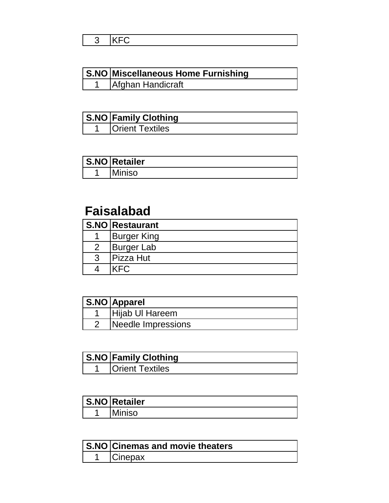| S.NO Miscellaneous Home Furnishing |
|------------------------------------|
| 1   Afghan Handicraft              |

| <b>S.NO Family Clothing</b> |
|-----------------------------|
| <b>Orient Textiles</b>      |

| <b>S.NO</b> Retailer |
|----------------------|
| ີ່ SO                |

### **Faisalabad**

|   | <b>S.NO Restaurant</b> |
|---|------------------------|
|   | <b>Burger King</b>     |
| 2 | <b>Burger Lab</b>      |
| 3 | <b>Pizza Hut</b>       |
|   | FC.                    |

| <b>S.NO</b> Apparel |
|---------------------|
| Hijab UI Hareem     |
| Needle Impressions  |

| S.NO Family Clothing   |
|------------------------|
| <b>Orient Textiles</b> |

| <b>S.NO</b> Retailer |
|----------------------|
| <b>NSO</b>           |

| S.NO Cinemas and movie theaters |
|---------------------------------|
| <b>Cinepax</b>                  |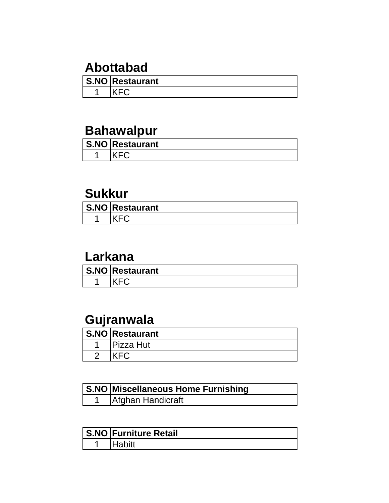### **Abottabad**

| <b>S.NO Restaurant</b> |
|------------------------|
|                        |

### **Bahawalpur**

| S.NO Restaurant |
|-----------------|
|                 |

#### **Sukkur**

| S.NO Restaurant |
|-----------------|
|                 |

#### **Larkana**

| <b>S.NO Restaurant</b> |
|------------------------|
|                        |

## **Gujranwala**

| <b>S.NO Restaurant</b> |
|------------------------|
| <sup>⊃</sup> izza Hut  |
|                        |

| S.NO Miscellaneous Home Furnishing |
|------------------------------------|
| Afghan Handicraft                  |

| <b>S.NO Furniture Retail</b> |
|------------------------------|
| labitt                       |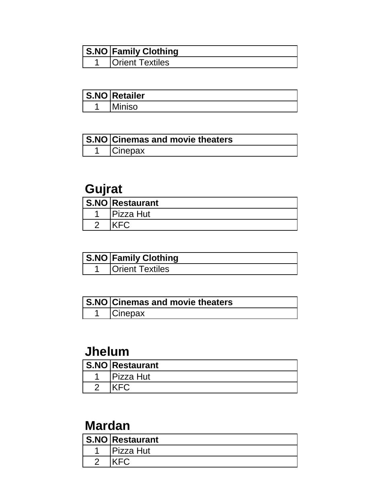| <b>S.NO Family Clothing</b> |
|-----------------------------|
| <b>Orient Textiles</b>      |

| S.NO Retailer |
|---------------|
| ີ່ SO         |

| S.NO Cinemas and movie theaters |
|---------------------------------|
| Cinepax                         |

### **Gujrat**

| <b>S.NO Restaurant</b> |
|------------------------|
| Pizza Hut              |
|                        |

| <b>S.NO Family Clothing</b> |
|-----------------------------|
| <b>IOrient Textiles</b>     |

| S.NO Cinemas and movie theaters |
|---------------------------------|
| Cinepax                         |

#### **Jhelum**

| <b>S.NO Restaurant</b> |
|------------------------|
| Pizza Hut              |
|                        |

### **Mardan**

| IVIUI UUI I |                        |
|-------------|------------------------|
|             | <b>S.NO Restaurant</b> |
|             | Pizza Hut              |
|             |                        |